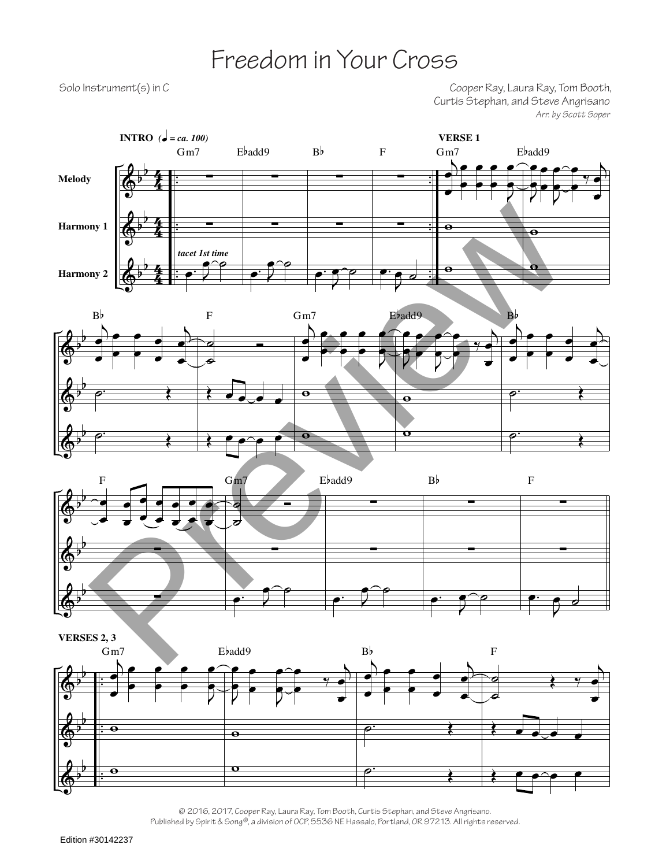## Freedom in Your Cross

Solo Instrument(s) in C<br>Cooper Ray, Laura Ray, Tom Booth, Curtis Stephan, and Steve Angrisano *Arr. by Scott Soper*









© 2016, 2017, Cooper Ray, Laura Ray, Tom Booth, Curtis Stephan, and Steve Angrisano. Published by Spirit & Song®, a division of OCP, 5536 NE Hassalo, Portland, OR 97213. All rights reserved.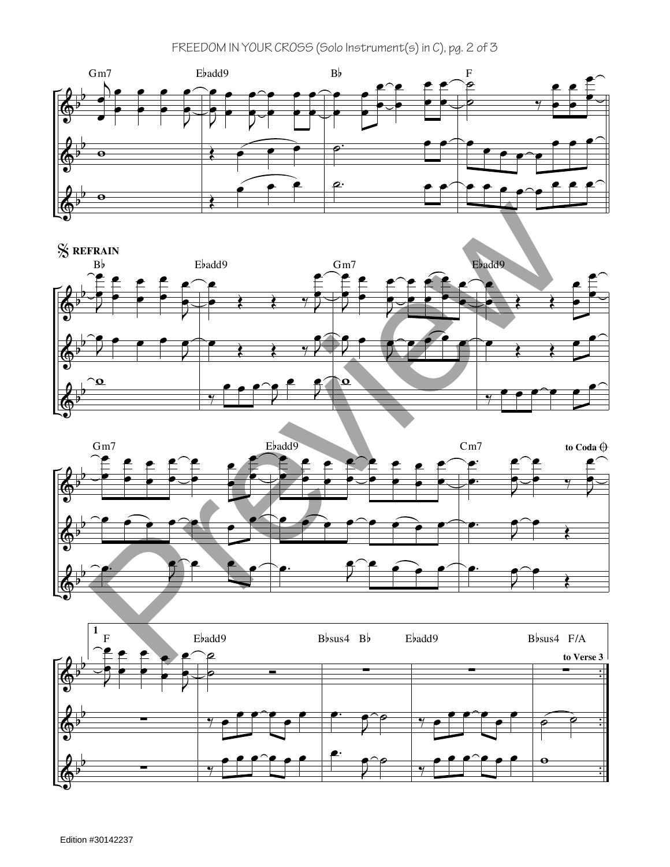## FREEDOM IN YOUR CROSS (Solo Instrument(s) in C), pg. 2 of 3